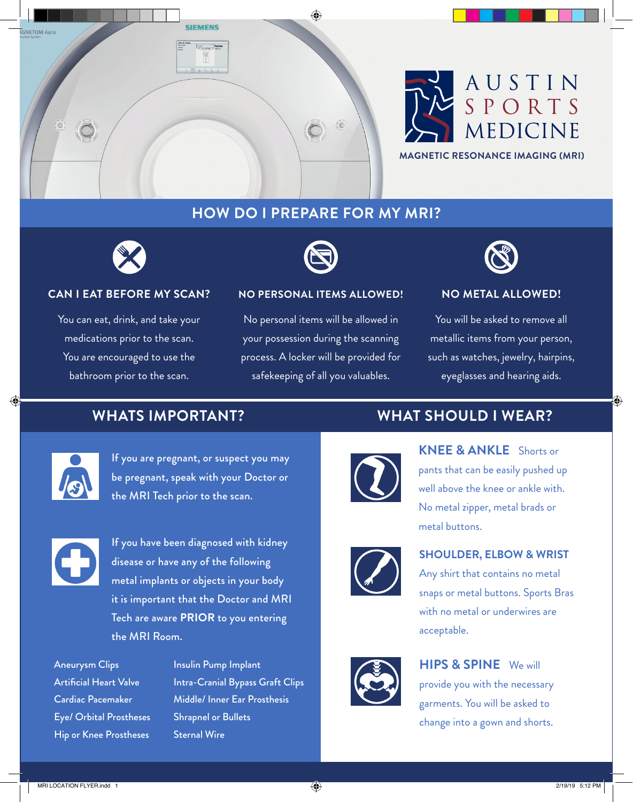



## **HOW DO I PREPARE FOR MY MRI?**



#### **CAN I EAT BEFORE MY SCAN?**

You can eat, drink, and take your medications prior to the scan. You are encouraged to use the bathroom prior to the scan.



#### **NO PERSONAL ITEMS ALLOWED!**

No personal items will be allowed in your possession during the scanning process. A locker will be provided for safekeeping of all you valuables.



#### **NO METAL ALLOWED!**

You will be asked to remove all metallic items from your person, such as watches, jewelry, hairpins, eyeglasses and hearing aids.

## **WHATS IMPORTANT?**



⊕

If you are pregnant, or suspect you may be pregnant, speak with your Doctor or the MRI Tech prior to the scan.



If you have been diagnosed with kidney disease or have any of the following metal implants or objects in your body it is important that the Doctor and MRI Tech are aware **PRIOR** to you entering the MRI Room.

Aneurysm Clips Artificial Heart Valve Cardiac Pacemaker Eye/ Orbital Prostheses Hip or Knee Prostheses

Insulin Pump Implant Intra-Cranial Bypass Graft Clips Middle/ Inner Ear Prosthesis Shrapnel or Bullets Sternal Wire

## **WHAT SHOULD I WEAR?**



**KNEE & ANKLE** Shorts or pants that can be easily pushed up well above the knee or ankle with. No metal zipper, metal brads or metal buttons.



#### **SHOULDER, ELBOW & WRIST**

Any shirt that contains no metal snaps or metal buttons. Sports Bras with no metal or underwires are acceptable.



## **HIPS & SPINE** We will

provide you with the necessary garments. You will be asked to change into a gown and shorts.